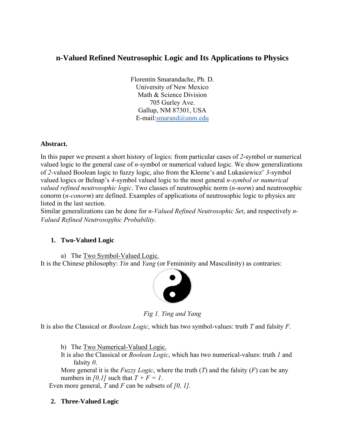# **n-Valued Refined Neutrosophic Logic and Its Applications to Physics**

Florentin Smarandache, Ph. D. University of New Mexico Math & Science Division 705 Gurley Ave. Gallup, NM 87301, USA E-mail:smarand@unm.edu

## **Abstract.**

In this paper we present a short history of logics: from particular cases of *2*-symbol or numerical valued logic to the general case of *n-*symbol or numerical valued logic. We show generalizations of *2-*valued Boolean logic to fuzzy logic, also from the Kleene's and Lukasiewicz' *3-*symbol valued logics or Belnap's *4-*symbol valued logic to the most general *n-symbol or numerical valued refined neutrosophic logic*. Two classes of neutrosophic norm (*n-norm*) and neutrosophic conorm (*n-conorm*) are defined. Examples of applications of neutrosophic logic to physics are listed in the last section.

Similar generalizations can be done for *n-Valued Refined Neutrosophic Set*, and respectively *n-Valued Refined Neutrosopjhic Probability.* 

## **1. Two-Valued Logic**

a) The Two Symbol-Valued Logic.

It is the Chinese philosophy: *Yin* and *Yang* (or Femininity and Masculinity) as contraries:



*Fig 1. Ying and Yang* 

It is also the Classical or *Boolean Logic*, which has two symbol-values: truth *T* and falsity *F*.

b) The Two Numerical-Valued Logic.

It is also the Classical or *Boolean Logic*, which has two numerical-values: truth *1* and falsity *0*.

More general it is the *Fuzzy Logic*, where the truth (*T*) and the falsity (*F*) can be any numbers in  $[0,1]$  such that  $T + F = I$ .

Even more general, *T* and *F* can be subsets of *[0, 1].*

## **2. Three-Valued Logic**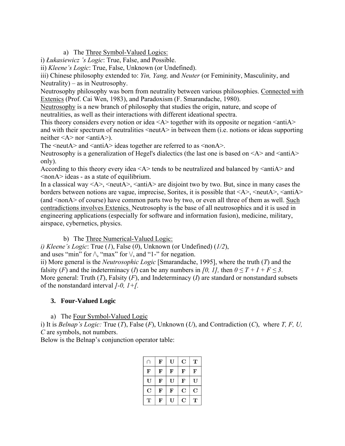a) The Three Symbol-Valued Logics:

i) *Łukasiewicz 's Logic*: True, False, and Possible.

ii) *Kleene's Logic*: True, False, Unknown (or Undefined).

iii) Chinese philosophy extended to: *Yin, Yang,* and *Neuter* (or Femininity, Masculinity, and Neutrality) – as in Neutrosophy.

Neutrosophy philosophy was born from neutrality between various philosophies. Connected with Extenics (Prof. Cai Wen, 1983), and Paradoxism (F. Smarandache, 1980).

Neutrosophy is a new branch of philosophy that studies the origin, nature, and scope of neutralities, as well as their interactions with different ideational spectra.

This theory considers every notion or idea  $\langle A \rangle$  together with its opposite or negation  $\langle \text{anti}A \rangle$ and with their spectrum of neutralities <neutA> in between them (i.e. notions or ideas supporting neither  $\leq A$  nor  $\leq$  anti $A$ ).

The  $\le$ neutA $>$  and  $\le$ antiA $>$  ideas together are referred to as  $\le$ nonA $>$ .

Neutrosophy is a generalization of Hegel's dialectics (the last one is based on  $\langle A \rangle$  and  $\langle \text{anti}A \rangle$ only).

According to this theory every idea  $\langle A \rangle$  tends to be neutralized and balanced by  $\langle \text{anti} \rangle$  and <nonA> ideas - as a state of equilibrium.

In a classical way  $\langle A \rangle$ ,  $\langle \text{neut} \rangle$ ,  $\langle \text{anti} \rangle$  are disjoint two by two. But, since in many cases the borders between notions are vague, imprecise, Sorites, it is possible that  $\langle A \rangle$ ,  $\langle \text{neut}A \rangle$ ,  $\langle \text{anti}A \rangle$ (and  $\leq$ nonA $>$  of course) have common parts two by two, or even all three of them as well. Such contradictions involves Extenics. Neutrosophy is the base of all neutrosophics and it is used in engineering applications (especially for software and information fusion), medicine, military, airspace, cybernetics, physics.

b) The Three Numerical-Valued Logic:

*i) Kleene's Logic*: True (*1*), False (*0*), Unknown (or Undefined) (*1/2*),

and uses "min" for  $\wedge$ , "max" for  $\vee$ , and "1-" for negation.

ii) More general is the *Neutrosophic Logic* [Smarandache, 1995], where the truth (*T*) and the falsity (*F*) and the indeterminacy (*I*) can be any numbers in [0, 1], then  $0 \le T + I + F \le 3$ . More general: Truth (*T*), Falsity (*F*), and Indeterminacy (*I*) are standard or nonstandard subsets of the nonstandard interval *]-0, 1+[.*

# **3. Four-Valued Logic**

a) The Four Symbol-Valued Logic

i) It is *Belnap's Logic:* True (*T*), False (*F*), Unknown (*U*), and Contradiction (*C*), where *T, F, U, C* are symbols, not numbers.

Below is the Belnap's conjunction operator table:

|           | F         | U           | C           | T |
|-----------|-----------|-------------|-------------|---|
| ${\bf F}$ | F         | F           | F           | F |
| U         | F         | U           | F           | U |
| C         | ${\bf F}$ | $\mathbf F$ | $\mathbf C$ | C |
| т         | F         | U           | C           | T |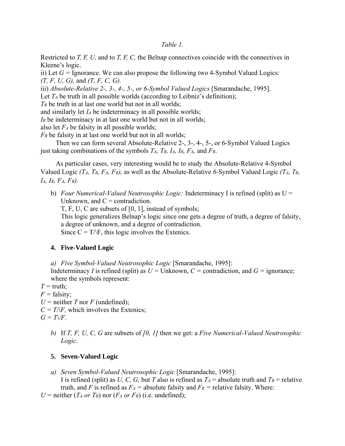#### *Table 1.*

Restricted to *T, F, U,* and to *T, F, C,* the Belnap connectives coincide with the connectives in Kleene's logic.

ii) Let  $G =$  Ignorance. We can also propose the following two 4-Symbol Valued Logics: *(T, F, U, G),* and *(T, F, C, G).*

iii) *Absolute-Relative 2-, 3-, 4-, 5-, or 6-Symbol Valued Logics* [Smarandache, 1995].

Let  $T_A$  be truth in all possible worlds (according to Leibniz's definition);

*TR* be truth in at last one world but not in all worlds;

and similarly let *IA* be indeterminacy in all possible worlds;

*IR* be indeterminacy in at last one world but not in all worlds;

also let *FA* be falsity in all possible worlds;

*FR* be falsity in at last one world but not in all worlds;

Then we can form several Absolute-Relative 2-, 3-, 4-, 5-, or 6-Symbol Valued Logics just taking combinations of the symbols *TA, TR, IA, IR, FA,* and *FR*.

As particular cases, very interesting would be to study the Absolute-Relative 4-Symbol Valued Logic *(TA, TR, FA, FR),* as well as the Absolute-Relative *6*-Symbol Valued Logic *(TA, TR, IA, IR, FA, FR).* 

b) *Four Numerical-Valued Neutrosophic Logic:* Indeterminacy I is refined (split) as U = Unknown, and  $C =$  contradiction.

T, F, U, C are subsets of [0, 1], instead of symbols;

This logic generalizes Belnap's logic since one gets a degree of truth, a degree of falsity, a degree of unknown, and a degree of contradiction.

Since  $C = T\Delta F$ , this logic involves the Extenics.

## **4. Five-Valued Logic**

*a) Five Symbol-Valued Neutrosophic Logic* [Smarandache, 1995]:

Indeterminacy *I* is refined (split) as  $U =$  Unknown,  $C =$  contradiction, and  $G =$  ignorance; where the symbols represent:

 $T = \text{truth}$ ;

 $F =$  falsity;

 $U =$  neither *T* nor *F* (undefined);

 $C = T\sqrt{F}$ , which involves the Extenics;

 $G = T\sqrt{F}$ .

*b)* If *T, F, U, C, G* are subsets of *[0, 1]* then we get: a *Five Numerical-Valued Neutrosophic Logic*.

## **5. Seven-Valued Logic**

*a) Seven Symbol-Valued Neutrosophic Logic* [Smarandache, 1995]: I is refined (split) as *U, C, G,* but *T* also is refined as  $T_A$  = absolute truth and  $T_R$  = relative truth, and *F* is refined as  $F_A$  = absolute falsity and  $F_R$  = relative falsity. Where:

*U* = neither  $(T_A \text{ or } T_R)$  nor  $(F_A \text{ or } F_R)$  (i.e. undefined);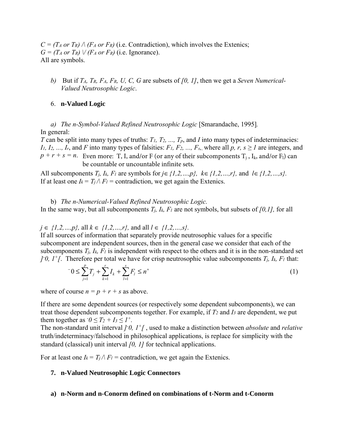$C = (T_A \text{ or } T_R) \wedge (F_A \text{ or } F_R)$  (i.e. Contradiction), which involves the Extenics;  $G = (T_A \text{ or } T_R) \vee (F_A \text{ or } F_R)$  (i.e. Ignorance). All are symbols.

*b)* But if *TA, TR, FA, FR, U, C, G* are subsets of *[0, 1]*, then we get a *Seven Numerical-Valued Neutrosophic Logic*.

#### 6. **n-Valued Logic**

*a) The n-Symbol-Valued Refined Neutrosophic Logic* [Smarandache, 1995]*.* In general:

*T* can be split into many types of truths:  $T_1$ ,  $T_2$ , ...,  $T_p$ , and *I* into many types of indeterminacies: *I<sub>1</sub>, I<sub>2</sub>, ..., I<sub>r</sub>, and <i>F* into many types of falsities: *F<sub>1</sub>*, *F<sub>2</sub>*, ..., *F<sub>s<sub>1</sub>*</sub>, where all *p*, *r*, *s*  $\geq$  *I* are integers, and  $p + r + s = n$ . Even more: T, I, and/or F (or any of their subcomponents  $T_j$ , I<sub>k</sub>, and/or F<sub>1</sub>) can be countable or uncountable infinite sets.

All subcomponents  $T_j$ ,  $I_k$ ,  $F_l$  are symbols for  $j \in \{1, 2, ..., p\}$ ,  $k \in \{1, 2, ..., r\}$ , and  $l \in \{1, 2, ..., s\}$ . If at least one  $I_k = T_i \wedge F_l$  = contradiction, we get again the Extenics.

b) *The n-Numerical-Valued Refined Neutrosophic Logic.* In the same way, but all subcomponents *Tj, Ik, Fl* are not symbols, but subsets of *[0,1],* for all

*j* ∈ *{1,2,…,p},* all *k* ∈ *{1,2,…,r},* and all *l* ∈ *{1,2,…,s}.* 

If all sources of information that separately provide neutrosophic values for a specific subcomponent are independent sources, then in the general case we consider that each of the subcomponents *Tj, Ik, Fl* is independent with respect to the others and it is in the non-standard set *]*-0,  $1^{\text{+}}$ [. Therefore per total we have for crisp neutrosophic value subcomponents  $T_j$ ,  $I_k$ ,  $F_l$  that:

$$
{}^{-}0 \leq \sum_{j=1}^{p} T_j + \sum_{k=1}^{r} I_k + \sum_{l=1}^{s} F_l \leq n^{+}
$$
 (1)

where of course  $n = p + r + s$  as above.

If there are some dependent sources (or respectively some dependent subcomponents), we can treat those dependent subcomponents together. For example, if *T2* and *I3* are dependent, we put them together as  $\tau_0 \leq T_2 + I_3 \leq I^+$ .

The non-standard unit interval *]- 0, 1+[* , used to make a distinction between *absolute* and *relative* truth/indeterminacy/falsehood in philosophical applications, is replace for simplicity with the standard (classical) unit interval *[0, 1]* for technical applications.

For at least one  $I_k = T_i \wedge F_l$  = contradiction, we get again the Extenics.

### **7. n-Valued Neutrosophic Logic Connectors**

#### **a) n-Norm and n-Conorm defined on combinations of t-Norm and t-Conorm**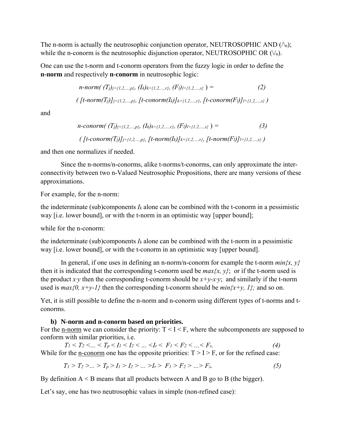The n-norm is actually the neutrosophic conjunction operator, NEUTROSOPHIC AND  $(\wedge_n)$ ; while the n-conorm is the neutrosophic disjunction operator, NEUTROSOPHIC OR  $(\vee_n)$ .

One can use the t-norm and t-conorm operators from the fuzzy logic in order to define the **n-norm** and respectively **n-conorm** in neutrosophic logic:

$$
n\text{-}norm\left(\text{ (}T_{j}\text{)}\text{)}\text{=}\text{ (}1,2,\ldots,p\text{, }(I_{k})\text{)}\text{=}\text{ (}1,2,\ldots,r\text{, }(F_{l})\text{]}\text{=}\text{ (}1,2,\ldots,s\text{)}\text{ }\right) =
$$

(
$$
[t\text{-}norm(T_j)]_{j=\{1,2,...,p\}}
$$
,  $[t\text{-}conorm(I_k)]_{k=\{1,2,...,r\}}$ ,  $[t\text{-}conorm(F_l)]_{l=\{1,2,...,s\}}$ )

and

$$
n\text{-conorm}\big(\ (T_j)_{j=\{1,2,\ldots,p\}},\ (I_k)_{k=\{1,2,\ldots,r\}},\ (F_l)_{l=\{1,2,\ldots,s\}}\ \big)=\ (3)
$$
\n
$$
\big(\ [t\text{-conorm}(T_j)_{j=\{1,2,\ldots,p\}},\ [t\text{-norm}(I_k)_{k=\{1,2,\ldots,r\}},\ [t\text{-norm}(F_l)_{l=\{1,2,\ldots,s\}}\ \big)
$$

and then one normalizes if needed.

Since the n-norms/n-conorms, alike t-norms/t-conorms, can only approximate the interconnectivity between two n-Valued Neutrosophic Propositions, there are many versions of these approximations.

For example, for the n-norm:

the indeterminate (sub)components  $I_k$  alone can be combined with the t-conorm in a pessimistic way [i.e. lower bound], or with the t-norm in an optimistic way [upper bound];

while for the n-conorm:

the indeterminate (sub)components  $I_k$  alone can be combined with the t-norm in a pessimistic way [i.e. lower bound], or with the t-conorm in an optimistic way [upper bound].

In general, if one uses in defining an n-norm/n-conorm for example the t-norm *min{x, y}*  then it is indicated that the corresponding t-conorm used be  $max\{x, y\}$ ; or if the t-norm used is the product *x*·*y* then the corresponding t-conorm should be  $x+y-x \cdot y$ ; and similarly if the t-norm used is  $max\{0, x+y-1\}$  then the corresponding t-conorm should be  $min\{x+y, 1\}$ ; and so on.

Yet, it is still possible to define the n-norm and n-conorm using different types of t-norms and tconorms.

## **b) N-norm and n-conorm based on priorities.**

For the <u>n-norm</u> we can consider the priority:  $T < I < F$ , where the subcomponents are supposed to conform with similar priorities, i.e.

 $T_1 < T_2 < ... < T_p < I_1 < I_2 < ... < I_r < F_1 < F_2 < ... < F_s$ . (4) While for the <u>n-conorm</u> one has the opposite priorities:  $T > I > F$ , or for the refined case:

$$
T_1 > T_2 > \dots > T_p > I_1 > I_2 > \dots > I_r > F_1 > F_2 > \dots > F_s.
$$
 (5)

By definition  $A \leq B$  means that all products between A and B go to B (the bigger).

Let's say, one has two neutrosophic values in simple (non-refined case):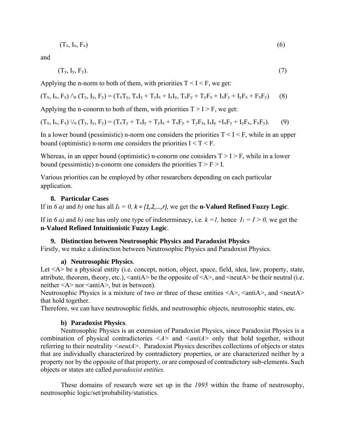$$
(T_x, I_x, F_x) \tag{6}
$$

and

$$
(Ty, Iy, Fy).
$$
 (7)

Applying the n-norm to both of them, with priorities  $T \leq I \leq F$ , we get:

$$
(T_x, I_x, F_x) \wedge_n (T_y, I_y, F_y) = (T_x T_y, T_x I_y + T_y I_x + I_x I_y, T_x F_y + T_y F_x + I_x F_y + I_y F_x + F_x F_y) \tag{8}
$$

Applying the n-conorm to both of them, with priorities  $T > I > F$ , we get:

$$
(T_x, I_x, F_x) \vee_n (T_y, I_y, F_y) = (T_xT_y + T_xI_y + T_yI_x + T_xF_y + T_yF_x, I_xI_y + I_xF_y + I_yF_x, F_xF_y). \tag{9}
$$

In a lower bound (pessimistic) n-norm one considers the priorities  $T < I < F$ , while in an upper bound (optimistic) n-norm one considers the priorities  $I < T < F$ .

Whereas, in an upper bound (optimistic) n-conorm one considers  $T > I > F$ , while in a lower bound (pessimistic) n-conorm one considers the priorities  $T > F > I$ .

Various priorities can be employed by other researchers depending on each particular application.

### **8. Particular Cases**

If in *6 a)* and *b)* one has all  $I_k = 0$ ,  $k = \{1, 2, ..., r\}$ , we get the **n-Valued Refined Fuzzy Logic**.

If in 6 a) and b) one has only one type of indeterminacy, i.e.  $k = 1$ , hence  $I_1 = I > 0$ , we get the **n-Valued Refined Intuitionistic Fuzzy Logic**.

### **9. Distinction between Neutrosophic Physics and Paradoxist Physics**

Firstly, we make a distinction between Neutrosophic Physics and Paradoxist Physics.

### **a) Neutrosophic Physics**.

Let <A> be a physical entity (i.e. concept, notion, object, space, field, idea, law, property, state, attribute, theorem, theory, etc.),  $\langle \text{antiA} \rangle$  be the opposite of  $\langle \text{A} \rangle$ , and  $\langle \text{neutA} \rangle$  be their neutral (i.e. neither  $\leq A$  nor  $\leq$  anti $A$ , but in between).

Neutrosophic Physics is a mixture of two or three of these entities  $\langle A \rangle$ ,  $\langle \text{anti}A \rangle$ , and  $\langle \text{neut}A \rangle$ that hold together.

Therefore, we can have neutrosophic fields, and neutrosophic objects, neutrosophic states, etc.

### **b) Paradoxist Physics**.

Neutrosophic Physics is an extension of Paradoxist Physics, since Paradoxist Physics is a combination of physical contradictories  $\langle A \rangle$  and  $\langle \text{anti}A \rangle$  only that hold together, without referring to their neutrality *<neutA>*. Paradoxist Physics describes collections of objects or states that are individually characterized by contradictory properties, or are characterized neither by a property nor by the opposite of that property, or are composed of contradictory sub-elements. Such objects or states are called *paradoxist entities.* 

These domains of research were set up in the *1995* within the frame of neutrosophy, neutrosophic logic/set/probability/statistics.

$$
(6)
$$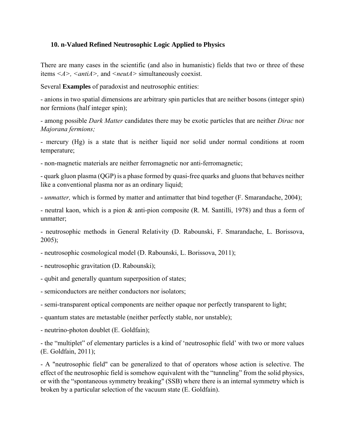## **10. n-Valued Refined Neutrosophic Logic Applied to Physics**

There are many cases in the scientific (and also in humanistic) fields that two or three of these items *<A>, <antiA>,* and *<neutA>* simultaneously coexist.

Several **Examples** of paradoxist and neutrosophic entities:

- anions in two spatial dimensions are arbitrary spin particles that are neither bosons (integer spin) nor fermions (half integer spin);

- among possible *Dark Matter* candidates there may be exotic particles that are neither *Dirac* nor *Majorana fermions;* 

- mercury (Hg) is a state that is neither liquid nor solid under normal conditions at room temperature;

- non-magnetic materials are neither ferromagnetic nor anti-ferromagnetic;

- quark gluon plasma (QGP) is a phase formed by quasi-free quarks and gluons that behaves neither like a conventional plasma nor as an ordinary liquid;

- *unmatter,* which is formed by matter and antimatter that bind together (F. Smarandache, 2004);

- neutral kaon, which is a pion & anti-pion composite (R. M. Santilli, 1978) and thus a form of unmatter:

- neutrosophic methods in General Relativity (D. Rabounski, F. Smarandache, L. Borissova, 2005);

- neutrosophic cosmological model (D. Rabounski, L. Borissova, 2011);
- neutrosophic gravitation (D. Rabounski);
- qubit and generally quantum superposition of states;
- semiconductors are neither conductors nor isolators;
- semi-transparent optical components are neither opaque nor perfectly transparent to light;
- quantum states are metastable (neither perfectly stable, nor unstable);
- neutrino-photon doublet (E. Goldfain);

- the "multiplet" of elementary particles is a kind of 'neutrosophic field' with two or more values (E. Goldfain, 2011);

- A "neutrosophic field" can be generalized to that of operators whose action is selective. The effect of the neutrosophic field is somehow equivalent with the "tunneling" from the solid physics, or with the "spontaneous symmetry breaking" (SSB) where there is an internal symmetry which is broken by a particular selection of the vacuum state (E. Goldfain).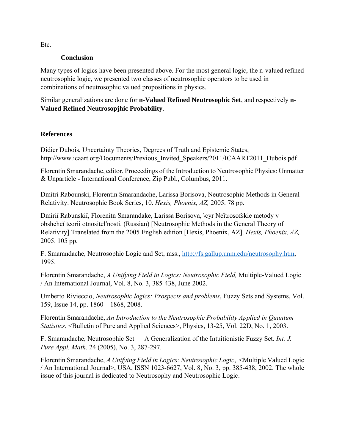**Conclusion** 

Many types of logics have been presented above. For the most general logic, the n-valued refined neutrosophic logic, we presented two classes of neutrosophic operators to be used in combinations of neutrosophic valued propositions in physics.

Similar generalizations are done for **n-Valued Refined Neutrosophic Set**, and respectively **n-Valued Refined Neutrosopjhic Probability**.

## **References**

Didier Dubois, Uncertainty Theories, Degrees of Truth and Epistemic States, http://www.icaart.org/Documents/Previous Invited Speakers/2011/ICAART2011 Dubois.pdf

Florentin Smarandache, editor, Proceedings of the Introduction to Neutrosophic Physics: Unmatter & Unparticle - International Conference, Zip Publ., Columbus, 2011.

Dmitri Rabounski, Florentin Smarandache, Larissa Borisova, Neutrosophic Methods in General Relativity. Neutrosophic Book Series, 10. *Hexis, Phoenix, AZ,* 2005. 78 pp.

Dmiriǐ Rabunskiĭ, Florenitn Smarandake, Larissa Borisova, \cyr Neĭtrosofskie metody v obshcheĭ teorii otnositelʹnosti. (Russian) [Neutrosophic Methods in the General Theory of Relativity] Translated from the 2005 English edition [Hexis, Phoenix, AZ]. *Hexis, Phoenix, AZ,* 2005. 105 pp.

F. Smarandache, Neutrosophic Logic and Set, mss., http://fs.gallup.unm.edu/neutrosophy.htm, 1995.

Florentin Smarandache, *A Unifying Field in Logics: Neutrosophic Field,* Multiple-Valued Logic / An International Journal, Vol. 8, No. 3, 385-438, June 2002.

Umberto Rivieccio, *Neutrosophic logics: Prospects and problems*, Fuzzy Sets and Systems, Vol. 159, Issue 14, pp. 1860 – 1868, 2008.

Florentin Smarandache, *An Introduction to the Neutrosophic Probability Applied in Quantum Statistics*, <Bulletin of Pure and Applied Sciences>, Physics, 13-25, Vol. 22D, No. 1, 2003.

F. Smarandache, Neutrosophic Set — A Generalization of the Intuitionistic Fuzzy Set. *Int. J. Pure Appl. Math.* 24 (2005), No. 3, 287-297.

Florentin Smarandache, *A Unifying Field in Logics: Neutrosophic Logic*, <Multiple Valued Logic / An International Journal>, USA, ISSN 1023-6627, Vol. 8, No. 3, pp. 385-438, 2002. The whole issue of this journal is dedicated to Neutrosophy and Neutrosophic Logic.

Etc.